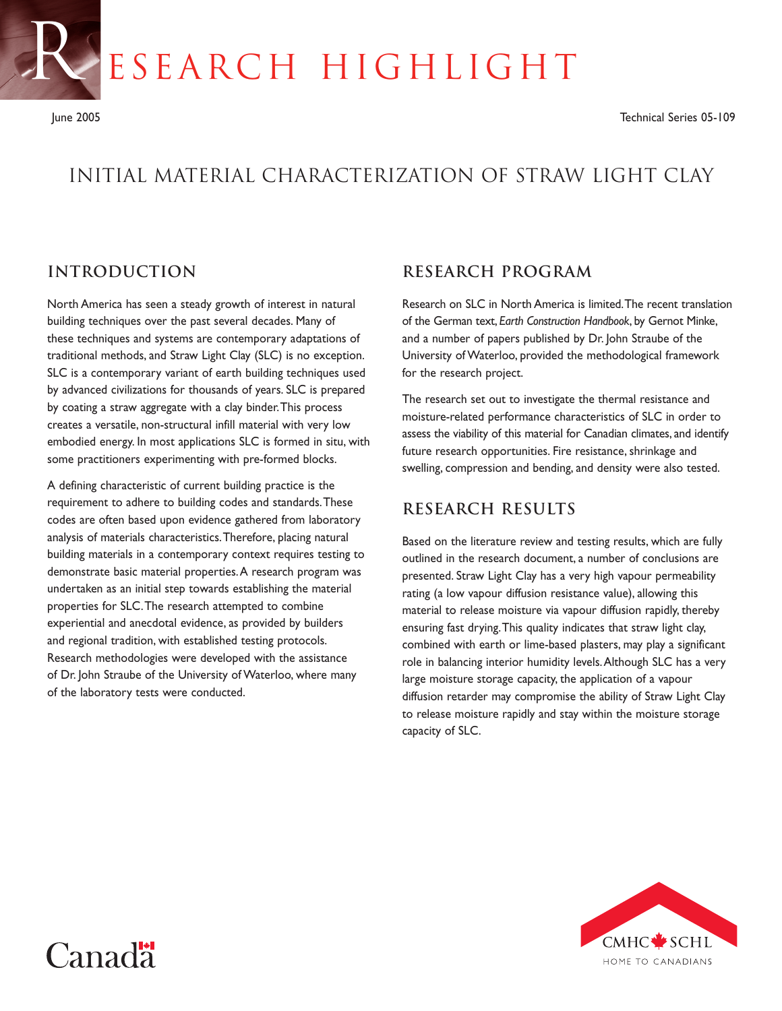ESEARCH HIGHLIGHT

R

# Initial Material Characterization of Straw Light Clay

# **Introduction**

Canadä

North America has seen a steady growth of interest in natural building techniques over the past several decades. Many of these techniques and systems are contemporary adaptations of traditional methods, and Straw Light Clay (SLC) is no exception. SLC is a contemporary variant of earth building techniques used by advanced civilizations for thousands of years. SLC is prepared by coating a straw aggregate with a clay binder.This process creates a versatile, non-structural infill material with very low embodied energy. In most applications SLC is formed in situ, with some practitioners experimenting with pre-formed blocks.

A defining characteristic of current building practice is the requirement to adhere to building codes and standards.These codes are often based upon evidence gathered from laboratory analysis of materials characteristics.Therefore, placing natural building materials in a contemporary context requires testing to demonstrate basic material properties.A research program was undertaken as an initial step towards establishing the material properties for SLC.The research attempted to combine experiential and anecdotal evidence, as provided by builders and regional tradition, with established testing protocols. Research methodologies were developed with the assistance of Dr. John Straube of the University of Waterloo, where many of the laboratory tests were conducted.

#### **Research Program**

Research on SLC in North America is limited.The recent translation of the German text, *Earth Construction Handbook*, by Gernot Minke, and a number of papers published by Dr. John Straube of the University of Waterloo, provided the methodological framework for the research project.

The research set out to investigate the thermal resistance and moisture-related performance characteristics of SLC in order to assess the viability of this material for Canadian climates, and identify future research opportunities. Fire resistance, shrinkage and swelling, compression and bending, and density were also tested.

### **Research Results**

Based on the literature review and testing results, which are fully outlined in the research document, a number of conclusions are presented. Straw Light Clay has a very high vapour permeability rating (a low vapour diffusion resistance value), allowing this material to release moisture via vapour diffusion rapidly, thereby ensuring fast drying.This quality indicates that straw light clay, combined with earth or lime-based plasters, may play a significant role in balancing interior humidity levels.Although SLC has a very large moisture storage capacity, the application of a vapour diffusion retarder may compromise the ability of Straw Light Clay to release moisture rapidly and stay within the moisture storage capacity of SLC.

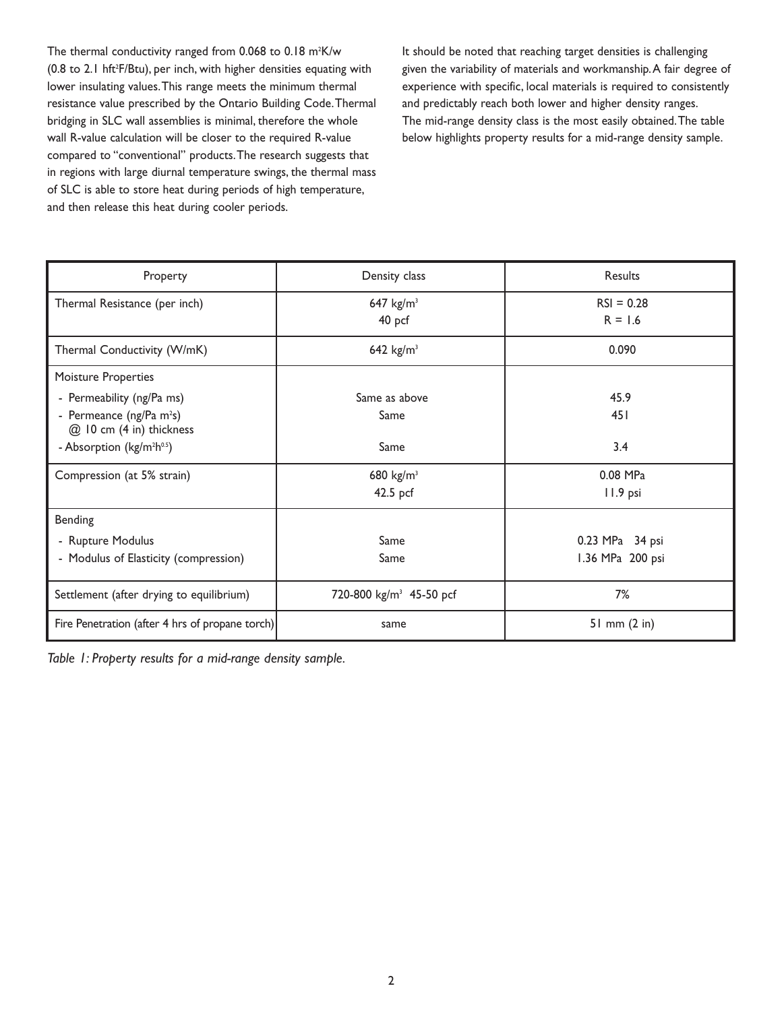The thermal conductivity ranged from  $0.068$  to  $0.18$  m<sup>2</sup>K/w (0.8 to 2.1 hft<sup>2</sup>F/Btu), per inch, with higher densities equating with lower insulating values.This range meets the minimum thermal resistance value prescribed by the Ontario Building Code.Thermal bridging in SLC wall assemblies is minimal, therefore the whole wall R-value calculation will be closer to the required R-value compared to "conventional" products.The research suggests that in regions with large diurnal temperature swings, the thermal mass of SLC is able to store heat during periods of high temperature, and then release this heat during cooler periods.

It should be noted that reaching target densities is challenging given the variability of materials and workmanship.A fair degree of experience with specific, local materials is required to consistently and predictably reach both lower and higher density ranges. The mid-range density class is the most easily obtained.The table below highlights property results for a mid-range density sample.

| Property                                                | Density class                       | Results                   |
|---------------------------------------------------------|-------------------------------------|---------------------------|
| Thermal Resistance (per inch)                           | 647 $kg/m3$<br>40 pcf               | $RSI = 0.28$<br>$R = 1.6$ |
| Thermal Conductivity (W/mK)                             | 642 $kg/m3$                         | 0.090                     |
| Moisture Properties                                     |                                     |                           |
| - Permeability (ng/Pa ms)                               | Same as above                       | 45.9                      |
| - Permeance (ng/Pa $m^2s$ )<br>@ 10 cm (4 in) thickness | Same                                | 451                       |
| - Absorption (kg/m <sup>2</sup> h <sup>0.5</sup> )      | Same                                | 3.4                       |
| Compression (at 5% strain)                              | 680 $kg/m^3$                        | 0.08 MPa                  |
|                                                         | 42.5 pcf                            | 11.9 psi                  |
| Bending                                                 |                                     |                           |
| - Rupture Modulus                                       | Same                                | 0.23 MPa 34 psi           |
| - Modulus of Elasticity (compression)                   | Same                                | 1.36 MPa 200 psi          |
| Settlement (after drying to equilibrium)                | 720-800 kg/m <sup>3</sup> 45-50 pcf | 7%                        |
| Fire Penetration (after 4 hrs of propane torch)         | same                                | $51$ mm $(2$ in)          |

*Table 1: Property results for a mid-range density sample.*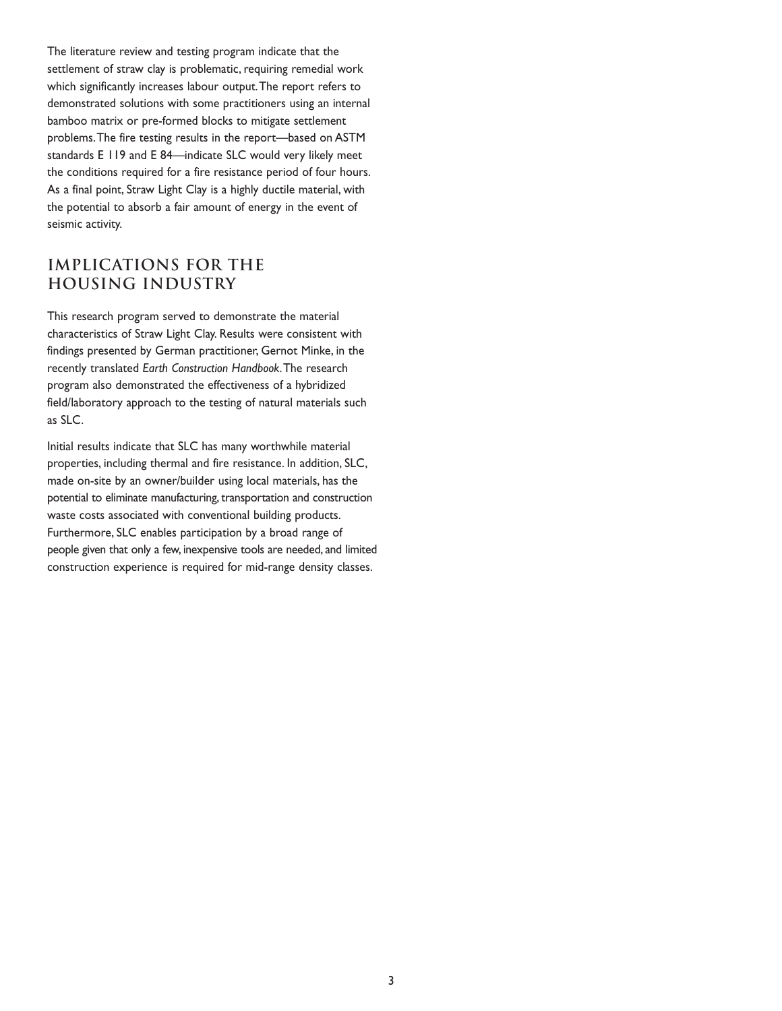The literature review and testing program indicate that the settlement of straw clay is problematic, requiring remedial work which significantly increases labour output.The report refers to demonstrated solutions with some practitioners using an internal bamboo matrix or pre-formed blocks to mitigate settlement problems.The fire testing results in the report—based on ASTM standards E 119 and E 84—indicate SLC would very likely meet the conditions required for a fire resistance period of four hours. As a final point, Straw Light Clay is a highly ductile material, with the potential to absorb a fair amount of energy in the event of seismic activity.

# **Implications for the Housing Industry**

This research program served to demonstrate the material characteristics of Straw Light Clay. Results were consistent with findings presented by German practitioner, Gernot Minke, in the recently translated *Earth Construction Handbook*.The research program also demonstrated the effectiveness of a hybridized field/laboratory approach to the testing of natural materials such as SLC.

Initial results indicate that SLC has many worthwhile material properties, including thermal and fire resistance. In addition, SLC, made on-site by an owner/builder using local materials, has the potential to eliminate manufacturing, transportation and construction waste costs associated with conventional building products. Furthermore, SLC enables participation by a broad range of people given that only a few, inexpensive tools are needed, and limited construction experience is required for mid-range density classes.